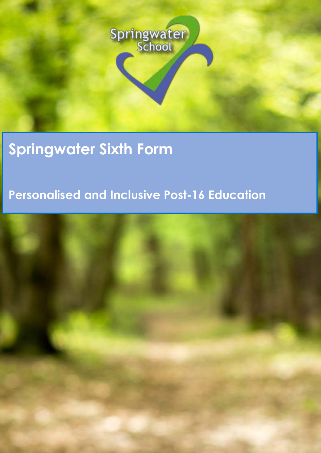

# **Springwater Sixth Form**

## **Personalised and Inclusive Post-16 Education**

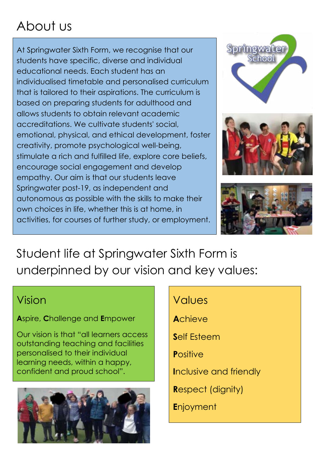# About us

At Springwater Sixth Form, we recognise that our students have specific, diverse and individual educational needs. Each student has an individualised timetable and personalised curriculum that is tailored to their aspirations. The curriculum is based on preparing students for adulthood and allows students to obtain relevant academic accreditations. We cultivate students' social, emotional, physical, and ethical development, foster creativity, promote psychological well-being, stimulate a rich and fulfilled life, explore core beliefs, encourage social engagement and develop empathy. Our aim is that our students leave Springwater post-19, as independent and autonomous as possible with the skills to make their own choices in life, whether this is at home, in activities, for courses of further study, or employment.



Student life at Springwater Sixth Form is underpinned by our vision and key values:

## Vision

**A**spire, **C**hallenge and **E**mpower

Our vision is that "all learners access outstanding teaching and facilities personalised to their individual learning needs, within a happy, confident and proud school".



## Values

**A**chieve

**S**elf Esteem

**P**ositive

**I**nclusive and friendly

**R**espect (dignity)

**E**njoyment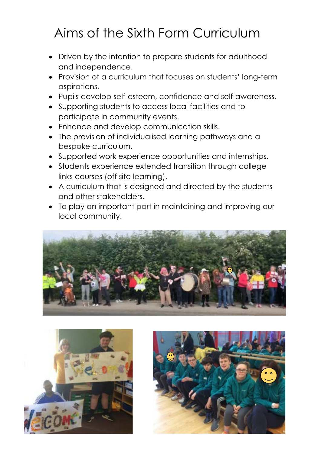# Aims of the Sixth Form Curriculum

- Driven by the intention to prepare students for adulthood and independence.
- Provision of a curriculum that focuses on students' long-term aspirations.
- Pupils develop self-esteem, confidence and self-awareness.
- Supporting students to access local facilities and to participate in community events.
- Enhance and develop communication skills.
- The provision of individualised learning pathways and a bespoke curriculum.
- Supported work experience opportunities and internships.
- Students experience extended transition through college links courses (off site learning).
- A curriculum that is designed and directed by the students and other stakeholders.
- To play an important part in maintaining and improving our local community.





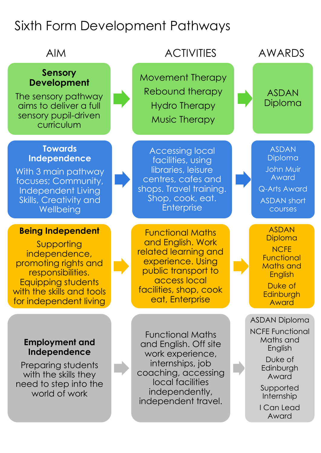# Sixth Form Development Pathways

### **Sensory Development**

The sensory pathway aims to deliver a full sensory pupil-driven curriculum

### **Towards Independence**

With 3 main pathway focuses; Community, Independent Living Skills, Creativity and **Wellbeing** 

### **Being Independent**

Supporting independence, promoting rights and responsibilities. Equipping students with the skills and tools for independent living

### **Employment and Independence**

Preparing students with the skills they need to step into the world of work

Functional Maths and English. Off site work experience, internships, job coaching, accessing local facilities independently, independent travel.

## AIM ACTIVITIES AWARDS

Movement Therapy Rebound therapy Hydro Therapy Music Therapy

Accessing local facilities, using libraries, leisure centres, cafes and shops. Travel training. Shop, cook, eat. **Enterprise** 

Functional Maths and English. Work related learning and experience. Using public transport to access local facilities, shop, cook eat, Enterprise

ASDAN Diploma

ASDAN Diploma John Muir Award Q-Arts Award ASDAN short courses

ASDAN Diploma **NCFE Functional** Maths and **English** 

Duke of **Edinburgh** Award

ASDAN Diploma

NCFE Functional Maths and English

> Duke of **Edinburgh** Award

Supported Internship

I Can Lead Award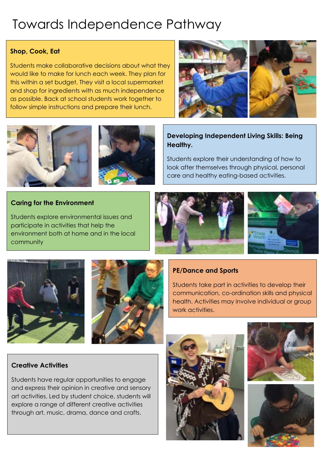# Towards Independence Pathway

### **Shop, Cook, Eat**

Students make collaborative decisions about what they would like to make for lunch each week. They plan for this within a set budget. They visit a local supermarket and shop for ingredients with as much independence as possible. Back at school students work together to follow simple instructions and prepare their lunch.









### **Developing Independent Living Skills: Being Healthy.**

Students explore their understanding of how to look after themselves through physical, personal care and healthy eating-based activities.

### **Caring for the Environment**

Students explore environmental issues and participate in activities that help the environment both at home and in the local community







### **PE/Dance and Sports**

Students take part in activities to develop their communication, co-ordination skills and physical health. Activities may involve individual or group work activities.

### **Creative Activities**

Students have regular opportunities to engage and express their opinion in creative and sensory art activities. Led by student choice, students will explore a range of different creative activities through art, music, drama, dance and crafts.





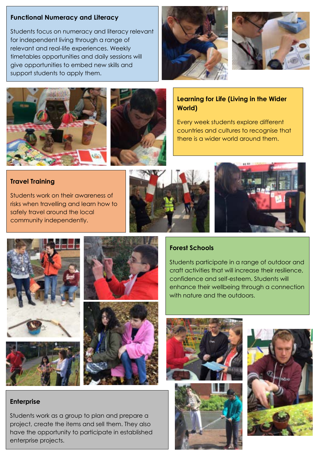### **Functional Numeracy and Literacy**

Students focus on numeracy and literacy relevant for independent living through a range of relevant and real-life experiences. Weekly timetables opportunities and daily sessions will give opportunities to embed new skills and support students to apply them.







### **Learning for Life (Living in the Wider World)**

Every week students explore different countries and cultures to recognise that there is a wider world around them.

### **Travel Training**

Students work on their awareness of risks when travelling and learn how to safely travel around the local community independently.









### **Enterprise**

Students work as a group to plan and prepare a project, create the items and sell them. They also have the opportunity to participate in established enterprise projects.

### **Forest Schools**

Students participate in a range of outdoor and craft activities that will increase their resilience, confidence and self-esteem. Students will enhance their wellbeing through a connection with nature and the outdoors.





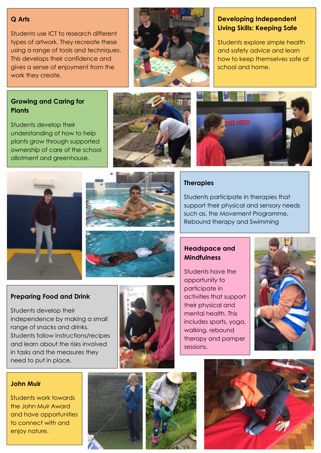### **Q Arts**

Students use ICT to research different types of artwork. They recreate these using a range of tools and techniques. This develops their confidence and gives a sense of enjoyment from the work they create.



### **Developing Independent Living Skills: Keeping Safe**

Students explore simple health and safety advice and learn how to keep themselves safe at school and home.

### **Growing and Caring for Plants**

Students develop their understanding of how to help plants grow through supported ownership of care of the school allotment and greenhouse.





### **Therapies**

Students participate in therapies that support their physical and sensory needs such as, the Movement Programme, Rebound therapy and Swimming

**Headspace and Mindfulness**

Students have the opportunity to participate in activities that support their physical and mental health. This includes sports, yoga, walking, rebound therapy and pamper sessions.



**Preparing Food and Drink** 

Students develop their independence by making a small range of snacks and drinks. Students follow instructions/recipes and learn about the risks involved in tasks and the measures they need to put in place.



#### **John Muir**

Students work towards the John Muir Award and have opportunities to connect with and enjoy nature.





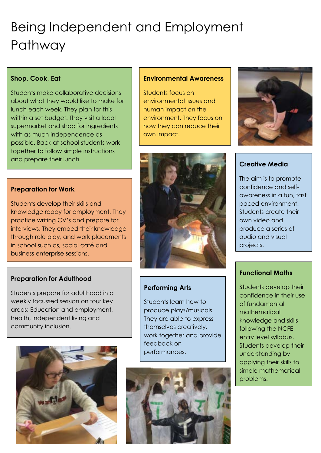# Being Independent and Employment Pathway

### **Shop, Cook, Eat**

Students make collaborative decisions about what they would like to make for lunch each week. They plan for this within a set budget. They visit a local supermarket and shop for ingredients with as much independence as possible. Back at school students work together to follow simple instructions and prepare their lunch.

### **Preparation for Work**

Students develop their skills and knowledge ready for employment. They practice writing CV's and prepare for interviews. They embed their knowledge through role play, and work placements in school such as, social café and business enterprise sessions.

### **Preparation for Adulthood**

Students prepare for adulthood in a weekly focussed session on four key areas: Education and employment, health, independent living and community inclusion.



#### **Environmental Awareness**

Students focus on environmental issues and human impact on the environment. They focus on how they can reduce their own impact.



#### **Creative Media**

The aim is to promote confidence and selfawareness in a fun, fast paced environment. Students create their own video and produce a series of audio and visual projects.

#### **Functional Maths**

Students develop their confidence in their use of fundamental mathematical knowledge and skills following the NCFE entry level syllabus. Students develop their understanding by applying their skills to simple mathematical problems.



### **Performing Arts**

Students learn how to produce plays/musicals. They are able to express themselves creatively, work together and provide feedback on performances.

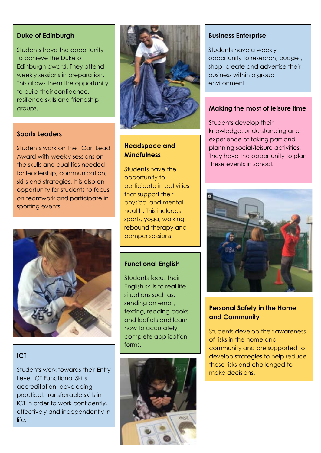#### **Duke of Edinburgh**

Students have the opportunity to achieve the Duke of Edinburgh award. They attend weekly sessions in preparation. This allows them the opportunity to build their confidence, resilience skills and friendship groups.



#### **Sports Leaders**

Students work on the I Can Lead Award with weekly sessions on the skulls and qualities needed for leadership, communication, skills and strategies. It is also an opportunity for students to focus on teamwork and participate in sporting events.



### **Headspace and Mindfulness**

Students have the opportunity to participate in activities that support their physical and mental health. This includes sports, yoga, walking, rebound therapy and pamper sessions.

### **Functional English**

Students focus their English skills to real life situations such as, sending an email, texting, reading books and leaflets and learn how to accurately complete application forms.

### **ICT**

Students work towards their Entry Level ICT Functional Skills accreditation, developing practical, transferrable skills in ICT in order to work confidently, effectively and independently in life.



#### **Business Enterprise**

Students have a weekly opportunity to research, budget, shop, create and advertise their business within a group environment.

#### **Making the most of leisure time**

Students develop their knowledge, understanding and experience of taking part and planning social/leisure activities. They have the opportunity to plan these events in school.



### **Personal Safety in the Home and Community**

Students develop their awareness of risks in the home and community and are supported to develop strategies to help reduce those risks and challenged to make decisions.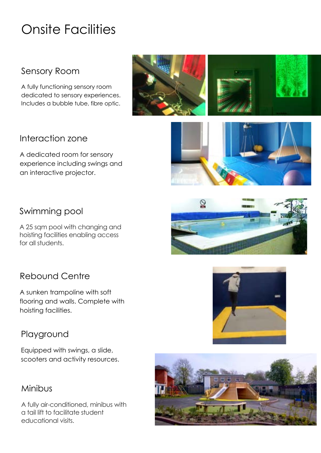# Onsite Facilities

### Sensory Room

A fully functioning sensory room dedicated to sensory experiences. Includes a bubble tube, fibre optic.



### Interaction zone

A dedicated room for sensory experience including swings and an interactive projector.



### Swimming pool

A 25 sqm pool with changing and hoisting facilities enabling access for all students.

### Rebound Centre

A sunken trampoline with soft flooring and walls. Complete with hoisting facilities.

### Playground

Equipped with swings, a slide, scooters and activity resources.



A fully air-conditioned, minibus with a tail lift to facilitate student educational visits.





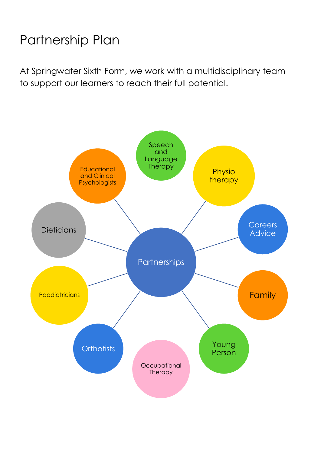# Partnership Plan

At Springwater Sixth Form, we work with a multidisciplinary team to support our learners to reach their full potential.

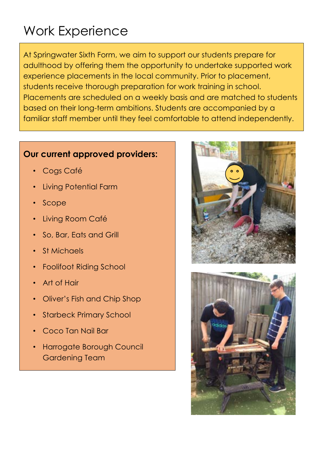# Work Experience

At Springwater Sixth Form, we aim to support our students prepare for adulthood by offering them the opportunity to undertake supported work experience placements in the local community. Prior to placement, students receive thorough preparation for work training in school. Placements are scheduled on a weekly basis and are matched to students based on their long-term ambitions. Students are accompanied by a familiar staff member until they feel comfortable to attend independently.

### **Our current approved providers:**

- Cogs Café
- Living Potential Farm
- Scope
- Living Room Café
- So, Bar, Eats and Grill
- St Michaels
- Foolifoot Riding School
- Art of Hair
- Oliver's Fish and Chip Shop
- **Starbeck Primary School**
- Coco Tan Nail Bar
- Harrogate Borough Council Gardening Team



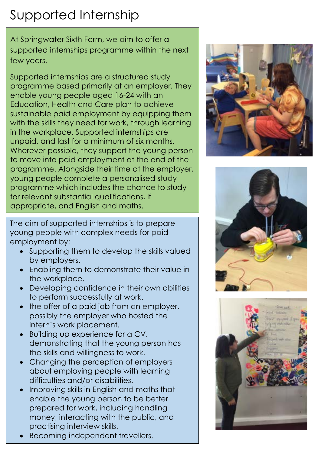# Supported Internship

At Springwater Sixth Form, we aim to offer a supported internships programme within the next few years.

Supported internships are a structured study programme based primarily at an employer. They enable young people aged 16-24 with an Education, Health and Care plan to achieve sustainable paid employment by equipping them with the skills they need for work, through learning in the workplace. Supported internships are unpaid, and last for a minimum of six months. Wherever possible, they support the young person to move into paid employment at the end of the programme. Alongside their time at the employer, young people complete a personalised study programme which includes the chance to study for relevant substantial qualifications, if appropriate, and English and maths.

The aim of supported internships is to prepare young people with complex needs for paid employment by:

- Supporting them to develop the skills valued by employers.
- Enabling them to demonstrate their value in the workplace.
- Developing confidence in their own abilities to perform successfully at work.
- the offer of a paid job from an employer, possibly the employer who hosted the intern's work placement.
- Building up experience for a CV, demonstrating that the young person has the skills and willingness to work.
- Changing the perception of employers about employing people with learning difficulties and/or disabilities.
- Improving skills in English and maths that enable the young person to be better prepared for work, including handling money, interacting with the public, and practising interview skills.
- Becoming independent travellers.